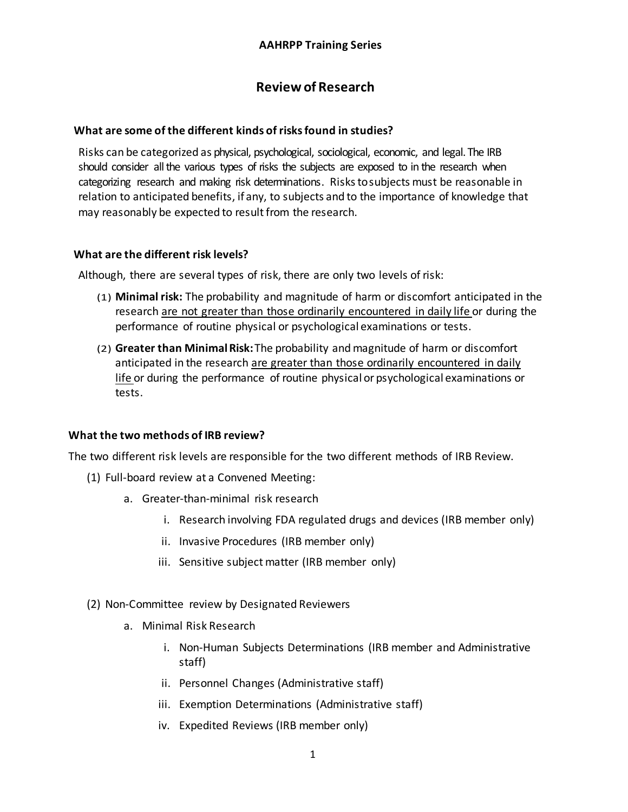# **Review of Research**

#### **What are some of the different kinds of risks found in studies?**

Risks can be categorized as physical, psychological, sociological, economic, and legal. The IRB should consider all the various types of risks the subjects are exposed to in the research when categorizing research and making risk determinations. Riskstosubjects must be reasonable in relation to anticipated benefits, if any, to subjects and to the importance of knowledge that may reasonably be expected to result from the research.

#### **What are the different risk levels?**

Although, there are several types of risk, there are only two levels of risk:

- (1) **Minimal risk:** The probability and magnitude of harm or discomfort anticipated in the research are not greater than those ordinarily encountered in daily life or during the performance of routine physical or psychological examinations or tests.
- (2) **Greater than MinimalRisk:**The probability and magnitude of harm or discomfort anticipated in the research are greater than those ordinarily encountered in daily life or during the performance of routine physical or psychological examinations or tests.

#### **What the two methods of IRB review?**

The two different risk levels are responsible for the two different methods of IRB Review.

- (1) Full-board review at a Convened Meeting:
	- a. Greater-than-minimal risk research
		- i. Research involving FDA regulated drugs and devices (IRB member only)
		- ii. Invasive Procedures (IRB member only)
		- iii. Sensitive subject matter (IRB member only)
- (2) Non-Committee review by Designated Reviewers
	- a. Minimal Risk Research
		- i. Non-Human Subjects Determinations (IRB member and Administrative staff)
		- ii. Personnel Changes (Administrative staff)
		- iii. Exemption Determinations (Administrative staff)
		- iv. Expedited Reviews (IRB member only)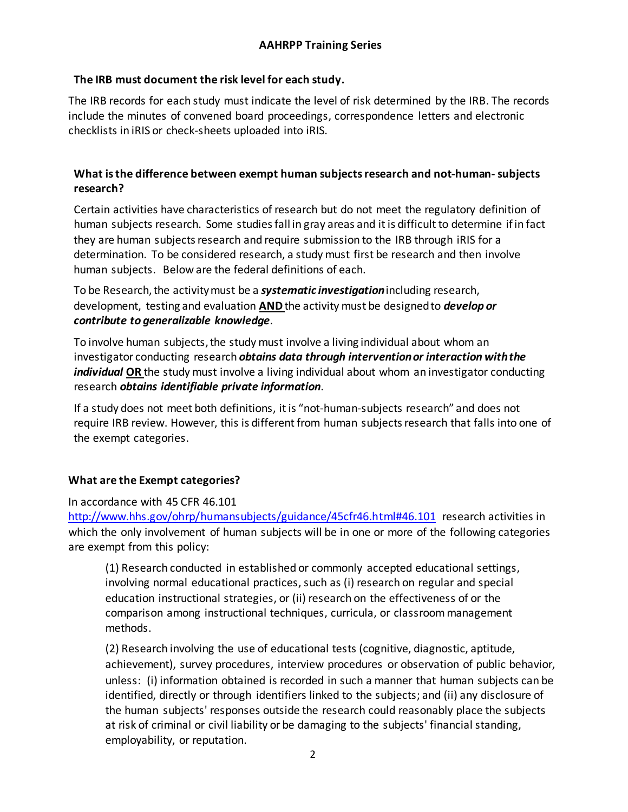# **The IRB must document the risk level for each study.**

The IRB records for each study must indicate the level of risk determined by the IRB. The records include the minutes of convened board proceedings, correspondence letters and electronic checklists in iRIS or check-sheets uploaded into iRIS.

# **What is the difference between exempt human subjects research and not-human-subjects research?**

Certain activities have characteristics of research but do not meet the regulatory definition of human subjects research. Some studies fall in gray areas and it is difficult to determine if in fact they are human subjects research and require submission to the IRB through iRIS for a determination. To be considered research, a study must first be research and then involve human subjects. Below are the federal definitions of each.

To be Research, the activity must be a **systematic investigation** including research, development, testing and evaluation **AND**the activity must be designedto *develop or contribute to generalizable knowledge*.

To involve human subjects,the study must involve a living individual about whom an investigator conducting research *obtains data through interventionor interaction withthe individual* **OR** the study must involve a living individual about whom an investigator conducting research *obtains identifiable private information*.

If a study does not meet both definitions, itis "not-human-subjects research" and does not require IRB review. However, this is different from human subjects research that falls into one of the exempt categories.

#### **What are the Exempt categories?**

In accordance with 45 CFR 46.101

<http://www.hhs.gov/ohrp/humansubjects/guidance/45cfr46.html#46.101> research activities in which the only involvement of human subjects will be in one or more of the following categories are exempt from this policy:

(1) Research conducted in established or commonly accepted educational settings, involving normal educational practices, such as (i) research on regular and special education instructional strategies, or (ii) research on the effectiveness of or the comparison among instructional techniques, curricula, or classroom management methods.

(2) Research involving the use of educational tests (cognitive, diagnostic, aptitude, achievement), survey procedures, interview procedures or observation of public behavior, unless: (i) information obtained is recorded in such a manner that human subjects can be identified, directly or through identifiers linked to the subjects; and (ii) any disclosure of the human subjects' responses outside the research could reasonably place the subjects at risk of criminal or civil liability or be damaging to the subjects' financial standing, employability, or reputation.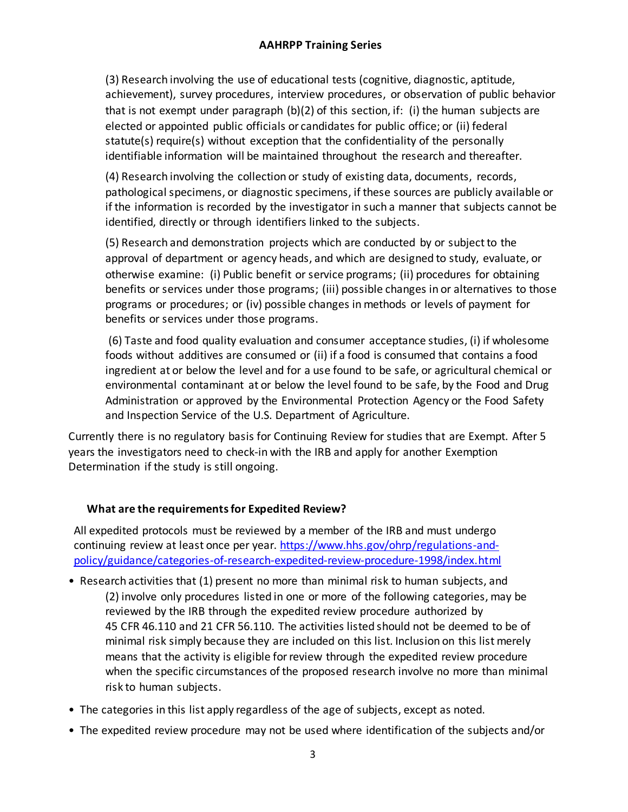(3) Research involving the use of educational tests (cognitive, diagnostic, aptitude, achievement), survey procedures, interview procedures, or observation of public behavior that is not exempt under paragraph (b)(2) of this section, if: (i) the human subjects are elected or appointed public officials or candidates for public office; or (ii) federal statute(s) require(s) without exception that the confidentiality of the personally identifiable information will be maintained throughout the research and thereafter.

(4) Research involving the collection or study of existing data, documents, records, pathological specimens, or diagnostic specimens, if these sources are publicly available or if the information is recorded by the investigator in such a manner that subjects cannot be identified, directly or through identifiers linked to the subjects.

(5) Research and demonstration projects which are conducted by or subject to the approval of department or agency heads, and which are designed to study, evaluate, or otherwise examine: (i) Public benefit or service programs; (ii) procedures for obtaining benefits or services under those programs; (iii) possible changes in or alternatives to those programs or procedures; or (iv) possible changes in methods or levels of payment for benefits or services under those programs.

(6) Taste and food quality evaluation and consumer acceptance studies, (i) if wholesome foods without additives are consumed or (ii) if a food is consumed that contains a food ingredient at or below the level and for a use found to be safe, or agricultural chemical or environmental contaminant at or below the level found to be safe, by the Food and Drug Administration or approved by the Environmental Protection Agency or the Food Safety and Inspection Service of the U.S. Department of Agriculture.

Currently there is no regulatory basis for Continuing Review for studies that are Exempt. After 5 years the investigators need to check-in with the IRB and apply for another Exemption Determination if the study is still ongoing.

#### **What are the requirements for Expedited Review?**

All expedited protocols must be reviewed by a member of the IRB and must undergo continuing review at least once per year. [https://www.hhs.gov/ohrp/regulations-and](https://www.hhs.gov/ohrp/regulations-and-policy/guidance/categories-of-research-expedited-review-procedure-1998/index.html)[policy/guidance/categories-of-research-expedited-review-procedure-1998/index.html](https://www.hhs.gov/ohrp/regulations-and-policy/guidance/categories-of-research-expedited-review-procedure-1998/index.html)

- Research activities that (1) present no more than minimal risk to human subjects, and (2) involve only procedures listed in one or more of the following categories, may be reviewed by the IRB through the expedited review procedure authorized by 45 CFR 46.110 and 21 CFR 56.110. The activities listed should not be deemed to be of minimal risk simply because they are included on this list. Inclusion on this list merely means that the activity is eligible for review through the expedited review procedure when the specific circumstances of the proposed research involve no more than minimal risk to human subjects.
- The categories in this list apply regardless of the age of subjects, except as noted.
- The expedited review procedure may not be used where identification of the subjects and/or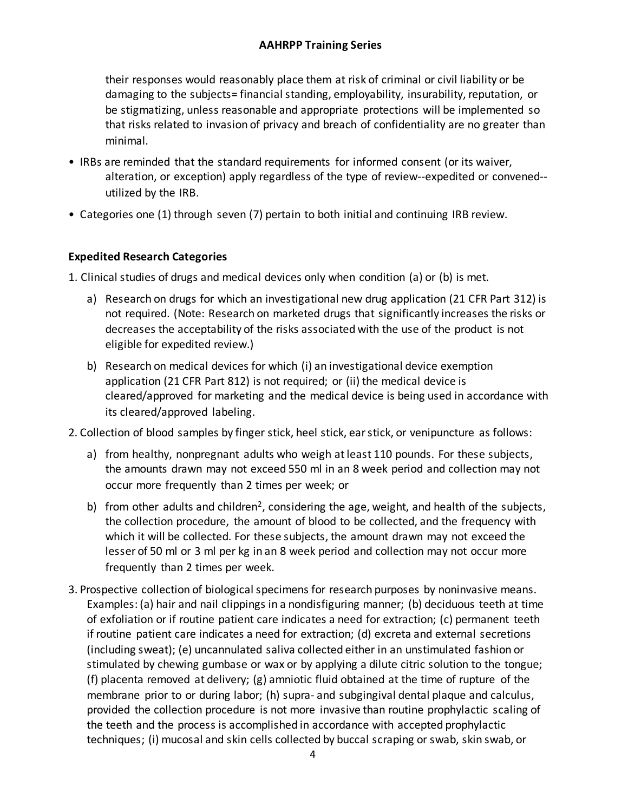their responses would reasonably place them at risk of criminal or civil liability or be damaging to the subjects= financial standing, employability, insurability, reputation, or be stigmatizing, unless reasonable and appropriate protections will be implemented so that risks related to invasion of privacy and breach of confidentiality are no greater than minimal.

- IRBs are reminded that the standard requirements for informed consent (or its waiver, alteration, or exception) apply regardless of the type of review--expedited or convened- utilized by the IRB.
- Categories one (1) through seven (7) pertain to both initial and continuing IRB review.

#### **Expedited Research Categories**

1. Clinical studies of drugs and medical devices only when condition (a) or (b) is met.

- a) Research on drugs for which an investigational new drug application (21 CFR Part 312) is not required. (Note: Research on marketed drugs that significantly increases the risks or decreases the acceptability of the risks associated with the use of the product is not eligible for expedited review.)
- b) Research on medical devices for which (i) an investigational device exemption application (21 CFR Part 812) is not required; or (ii) the medical device is cleared/approved for marketing and the medical device is being used in accordance with its cleared/approved labeling.

2. Collection of blood samples by finger stick, heel stick, ear stick, or venipuncture as follows:

- a) from healthy, nonpregnant adults who weigh at least 110 pounds. For these subjects, the amounts drawn may not exceed 550 ml in an 8 week period and collection may not occur more frequently than 2 times per week; or
- b) from other adults and children<sup>2</sup>, considering the age, weight, and health of the subjects, the collection procedure, the amount of blood to be collected, and the frequency with which it will be collected. For these subjects, the amount drawn may not exceed the lesser of 50 ml or 3 ml per kg in an 8 week period and collection may not occur more frequently than 2 times per week.
- 3. Prospective collection of biological specimens for research purposes by noninvasive means. Examples: (a) hair and nail clippings in a nondisfiguring manner; (b) deciduous teeth at time of exfoliation or if routine patient care indicates a need for extraction; (c) permanent teeth if routine patient care indicates a need for extraction; (d) excreta and external secretions (including sweat); (e) uncannulated saliva collected either in an unstimulated fashion or stimulated by chewing gumbase or wax or by applying a dilute citric solution to the tongue; (f) placenta removed at delivery; (g) amniotic fluid obtained at the time of rupture of the membrane prior to or during labor; (h) supra- and subgingival dental plaque and calculus, provided the collection procedure is not more invasive than routine prophylactic scaling of the teeth and the process is accomplished in accordance with accepted prophylactic techniques; (i) mucosal and skin cells collected by buccal scraping or swab, skin swab, or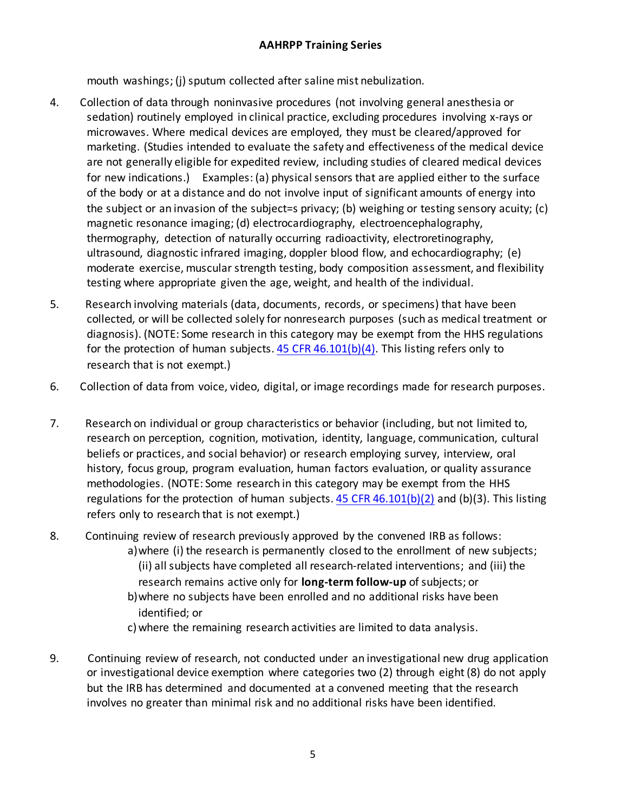mouth washings; (j) sputum collected after saline mist nebulization.

- 4. Collection of data through noninvasive procedures (not involving general anesthesia or sedation) routinely employed in clinical practice, excluding procedures involving x-rays or microwaves. Where medical devices are employed, they must be cleared/approved for marketing. (Studies intended to evaluate the safety and effectiveness of the medical device are not generally eligible for expedited review, including studies of cleared medical devices for new indications.) Examples: (a) physical sensors that are applied either to the surface of the body or at a distance and do not involve input of significant amounts of energy into the subject or an invasion of the subject=s privacy; (b) weighing or testing sensory acuity; (c) magnetic resonance imaging; (d) electrocardiography, electroencephalography, thermography, detection of naturally occurring radioactivity, electroretinography, ultrasound, diagnostic infrared imaging, doppler blood flow, and echocardiography; (e) moderate exercise, muscular strength testing, body composition assessment, and flexibility testing where appropriate given the age, weight, and health of the individual.
- 5. Research involving materials (data, documents, records, or specimens) that have been collected, or will be collected solely for nonresearch purposes (such as medical treatment or diagnosis). (NOTE: Some research in this category may be exempt from the HHS regulations for the protection of human subjects.  $45$  CFR  $46.101(b)(4)$ . This listing refers only to research that is not exempt.)
- 6. Collection of data from voice, video, digital, or image recordings made for research purposes.
- 7. Research on individual or group characteristics or behavior (including, but not limited to, research on perception, cognition, motivation, identity, language, communication, cultural beliefs or practices, and social behavior) or research employing survey, interview, oral history, focus group, program evaluation, human factors evaluation, or quality assurance methodologies. (NOTE: Some research in this category may be exempt from the HHS regulations for the protection of human subjects.  $45$  CFR  $46.101(b)(2)$  and (b)(3). This listing refers only to research that is not exempt.)
- 8. Continuing review of research previously approved by the convened IRB as follows: a)where (i) the research is permanently closed to the enrollment of new subjects; (ii) all subjects have completed all research-related interventions; and (iii) the research remains active only for **long-term follow-up** of subjects; or b)where no subjects have been enrolled and no additional risks have been identified; or c)where the remaining research activities are limited to data analysis.
- 9. Continuing review of research, not conducted under an investigational new drug application or investigational device exemption where categories two (2) through eight (8) do not apply but the IRB has determined and documented at a convened meeting that the research involves no greater than minimal risk and no additional risks have been identified.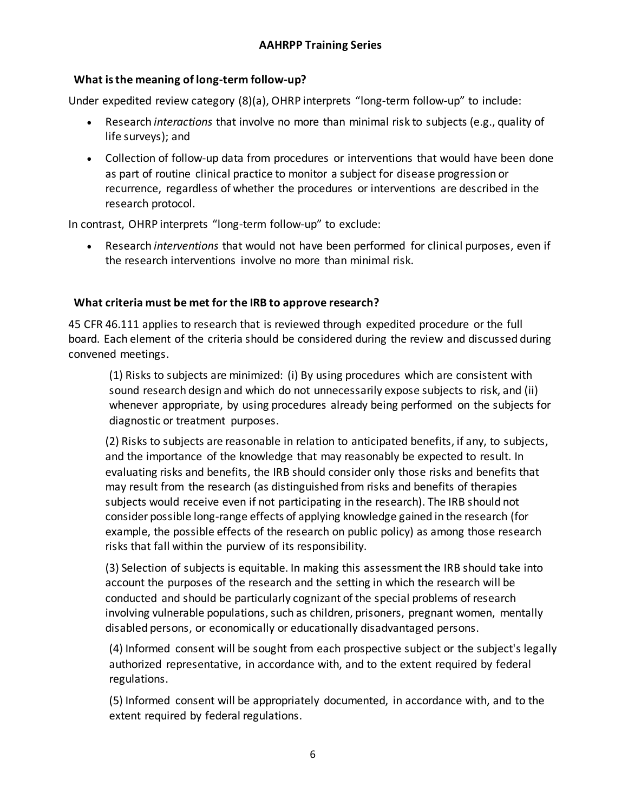### **What is the meaning of long-term follow-up?**

Under expedited review category (8)(a), OHRP interprets "long-term follow-up" to include:

- Research *interactions* that involve no more than minimal risk to subjects (e.g., quality of life surveys); and
- Collection of follow-up data from procedures or interventions that would have been done as part of routine clinical practice to monitor a subject for disease progression or recurrence, regardless of whether the procedures or interventions are described in the research protocol.

In contrast, OHRP interprets "long-term follow-up" to exclude:

• Research *interventions* that would not have been performed for clinical purposes, even if the research interventions involve no more than minimal risk.

# **What criteria must be met for the IRB to approve research?**

45 CFR 46.111 applies to research that is reviewed through expedited procedure or the full board. Each element of the criteria should be considered during the review and discussed during convened meetings.

(1) Risks to subjects are minimized: (i) By using procedures which are consistent with sound research design and which do not unnecessarily expose subjects to risk, and (ii) whenever appropriate, by using procedures already being performed on the subjects for diagnostic or treatment purposes.

(2) Risks to subjects are reasonable in relation to anticipated benefits, if any, to subjects, and the importance of the knowledge that may reasonably be expected to result. In evaluating risks and benefits, the IRB should consider only those risks and benefits that may result from the research (as distinguished from risks and benefits of therapies subjects would receive even if not participating in the research). The IRB should not consider possible long-range effects of applying knowledge gained in the research (for example, the possible effects of the research on public policy) as among those research risks that fall within the purview of its responsibility.

(3) Selection of subjects is equitable. In making this assessment the IRB should take into account the purposes of the research and the setting in which the research will be conducted and should be particularly cognizant of the special problems of research involving vulnerable populations, such as children, prisoners, pregnant women, mentally disabled persons, or economically or educationally disadvantaged persons.

(4) Informed consent will be sought from each prospective subject or the subject's legally authorized representative, in accordance with, and to the extent required by federal regulations.

(5) Informed consent will be appropriately documented, in accordance with, and to the extent required by federal regulations.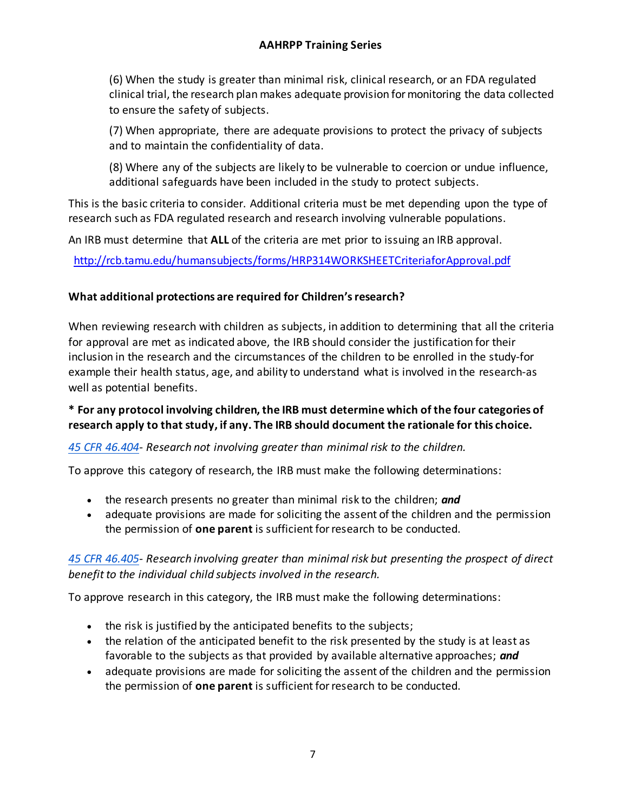(6) When the study is greater than minimal risk, clinical research, or an FDA regulated clinical trial, the research plan makes adequate provision for monitoring the data collected to ensure the safety of subjects.

(7) When appropriate, there are adequate provisions to protect the privacy of subjects and to maintain the confidentiality of data.

(8) Where any of the subjects are likely to be vulnerable to coercion or undue influence, additional safeguards have been included in the study to protect subjects.

This is the basic criteria to consider. Additional criteria must be met depending upon the type of research such as FDA regulated research and research involving vulnerable populations.

An IRB must determine that **ALL** of the criteria are met prior to issuing an IRB approval.

<http://rcb.tamu.edu/humansubjects/forms/HRP314WORKSHEETCriteriaforApproval.pdf>

#### **What additional protections are required for Children's research?**

When reviewing research with children as subjects, in addition to determining that all the criteria for approval are met as indicated above, the IRB should consider the justification for their inclusion in the research and the circumstances of the children to be enrolled in the study-for example their health status, age, and ability to understand what is involved in the research-as well as potential benefits.

# **\* For any protocol involving children, the IRB must determine which of the four categories of research apply to that study, if any. The IRB should document the rationale for this choice.**

#### *[45 CFR 46.404-](https://www.hhs.gov/ohrp/regulations-and-policy/regulations/45-cfr-46/index.html#46.404) Research not involving greater than minimal risk to the children.*

To approve this category of research, the IRB must make the following determinations:

- the research presents no greater than minimal risk to the children; *and*
- adequate provisions are made for soliciting the assent of the children and the permission the permission of **one parent** is sufficient for research to be conducted.

# *[45 CFR 46.405-](https://www.hhs.gov/ohrp/regulations-and-policy/regulations/45-cfr-46/index.html#46.405) Research involving greater than minimal risk but presenting the prospect of direct benefit to the individual child subjects involved in the research.*

To approve research in this category, the IRB must make the following determinations:

- the risk is justified by the anticipated benefits to the subjects;
- the relation of the anticipated benefit to the risk presented by the study is at least as favorable to the subjects as that provided by available alternative approaches; *and*
- adequate provisions are made for soliciting the assent of the children and the permission the permission of **one parent** is sufficient for research to be conducted.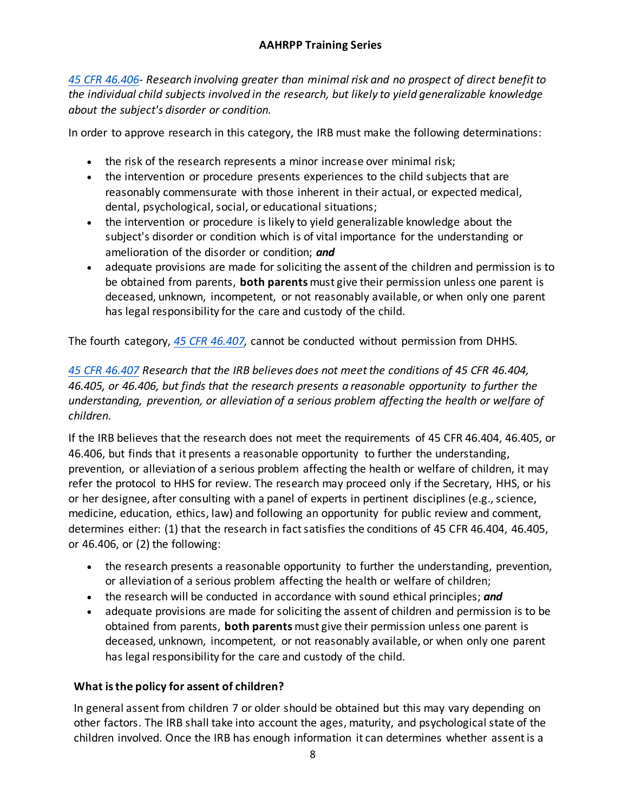*[45 CFR 46.406-](https://www.hhs.gov/ohrp/regulations-and-policy/regulations/45-cfr-46/index.html#46.406) Research involving greater than minimal risk and no prospect of direct benefit to the individual child subjects involved in the research, but likely to yield generalizable knowledge about the subject's disorder or condition.*

In order to approve research in this category, the IRB must make the following determinations:

- the risk of the research represents a minor increase over minimal risk;
- the intervention or procedure presents experiences to the child subjects that are reasonably commensurate with those inherent in their actual, or expected medical, dental, psychological, social, or educational situations;
- the intervention or procedure is likely to yield generalizable knowledge about the subject's disorder or condition which is of vital importance for the understanding or amelioration of the disorder or condition; *and*
- adequate provisions are made for soliciting the assent of the children and permission is to be obtained from parents, **both parents** must give their permission unless one parent is deceased, unknown, incompetent, or not reasonably available, or when only one parent has legal responsibility for the care and custody of the child.

The fourth category, *[45 CFR 46.407,](https://www.hhs.gov/ohrp/regulations-and-policy/regulations/45-cfr-46/index.html#46.407)* cannot be conducted without permission from DHHS.

# *[45 CFR 46.407](https://www.hhs.gov/ohrp/regulations-and-policy/regulations/45-cfr-46/index.html#46.407) Research that the IRB believes does not meet the conditions of 45 CFR 46.404, 46.405, or 46.406, but finds that the research presents a reasonable opportunity to further the understanding, prevention, or alleviation of a serious problem affecting the health or welfare of children.*

If the IRB believes that the research does not meet the requirements of 45 CFR 46.404, 46.405, or 46.406, but finds that it presents a reasonable opportunity to further the understanding, prevention, or alleviation of a serious problem affecting the health or welfare of children, it may refer the protocol to HHS for review. The research may proceed only if the Secretary, HHS, or his or her designee, after consulting with a panel of experts in pertinent disciplines (e.g., science, medicine, education, ethics, law) and following an opportunity for public review and comment, determines either: (1) that the research in fact satisfies the conditions of 45 CFR 46.404, 46.405, or 46.406, or (2) the following:

- the research presents a reasonable opportunity to further the understanding, prevention, or alleviation of a serious problem affecting the health or welfare of children;
- the research will be conducted in accordance with sound ethical principles; *and*
- adequate provisions are made for soliciting the assent of children and permission is to be obtained from parents, **both parents** must give their permission unless one parent is deceased, unknown, incompetent, or not reasonably available, or when only one parent has legal responsibility for the care and custody of the child.

# **What is the policy for assent of children?**

In general assent from children 7 or older should be obtained but this may vary depending on other factors. The IRB shall take into account the ages, maturity, and psychological state of the children involved. Once the IRB has enough information it can determines whether assent is a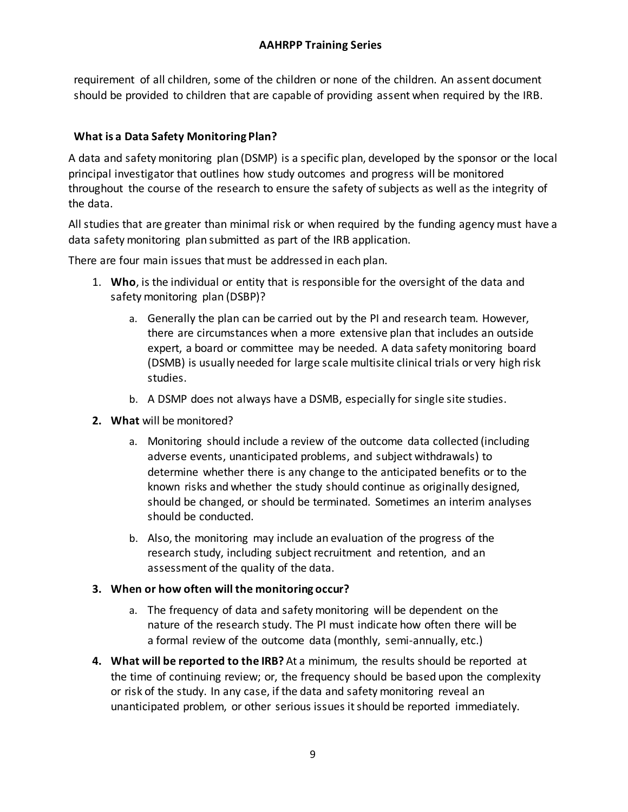requirement of all children, some of the children or none of the children. An assent document should be provided to children that are capable of providing assent when required by the IRB.

# **What is a Data Safety Monitoring Plan?**

A data and safety monitoring plan (DSMP) is a specific plan, developed by the sponsor or the local principal investigator that outlines how study outcomes and progress will be monitored throughout the course of the research to ensure the safety of subjects as well as the integrity of the data.

All studies that are greater than minimal risk or when required by the funding agency must have a data safety monitoring plan submitted as part of the IRB application.

There are four main issues that must be addressed in each plan.

- 1. **Who**, is the individual or entity that is responsible for the oversight of the data and safety monitoring plan (DSBP)?
	- a. Generally the plan can be carried out by the PI and research team. However, there are circumstances when a more extensive plan that includes an outside expert, a board or committee may be needed. A data safety monitoring board (DSMB) is usually needed for large scale multisite clinical trials or very high risk studies.
	- b. A DSMP does not always have a DSMB, especially for single site studies.
- **2. What** will be monitored?
	- a. Monitoring should include a review of the outcome data collected (including adverse events, unanticipated problems, and subject withdrawals) to determine whether there is any change to the anticipated benefits or to the known risks and whether the study should continue as originally designed, should be changed, or should be terminated. Sometimes an interim analyses should be conducted.
	- b. Also, the monitoring may include an evaluation of the progress of the research study, including subject recruitment and retention, and an assessment of the quality of the data.

#### **3. When or how often will the monitoring occur?**

- a. The frequency of data and safety monitoring will be dependent on the nature of the research study. The PI must indicate how often there will be a formal review of the outcome data (monthly, semi-annually, etc.)
- **4. What will be reported to the IRB?** At a minimum, the results should be reported at the time of continuing review; or, the frequency should be based upon the complexity or risk of the study. In any case, if the data and safety monitoring reveal an unanticipated problem, or other serious issues it should be reported immediately.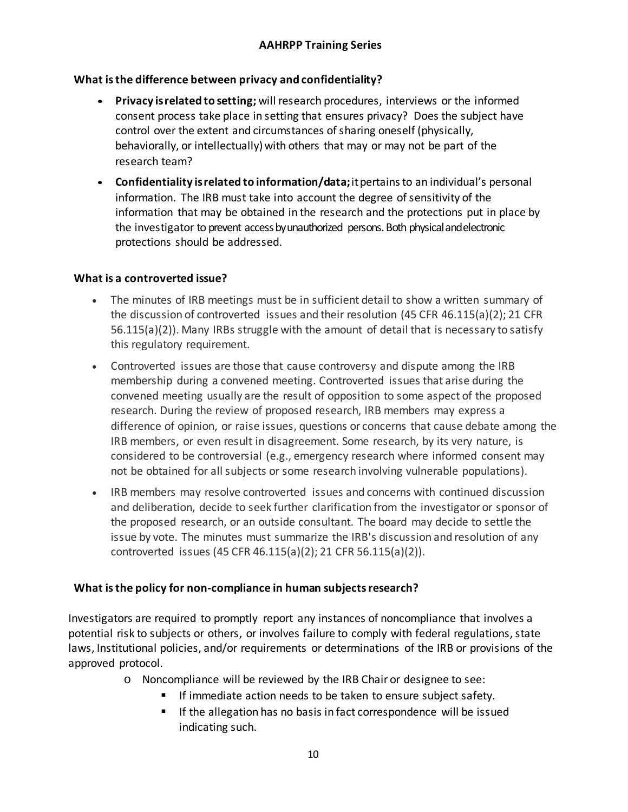# **What is the difference between privacy and confidentiality?**

- **Privacy isrelated to setting;** will research procedures, interviews or the informed consent process take place in setting that ensures privacy? Does the subject have control over the extent and circumstances of sharing oneself (physically, behaviorally, or intellectually) with others that may or may not be part of the research team?
- **Confidentiality isrelated to information/data;**itpertainsto an individual's personal information. The IRB must take into account the degree of sensitivity of the information that may be obtained in the research and the protections put in place by the investigator to prevent access by unauthorized persons. Both physical and electronic protections should be addressed.

# **What is a controverted issue?**

- The minutes of IRB meetings must be in sufficient detail to show a written summary of the discussion of controverted issues and their resolution (45 CFR 46.115(a)(2); 21 CFR 56.115(a)(2)). Many IRBs struggle with the amount of detail that is necessary to satisfy this regulatory requirement.
- Controverted issues are those that cause controversy and dispute among the IRB membership during a convened meeting. Controverted issues that arise during the convened meeting usually are the result of opposition to some aspect of the proposed research. During the review of proposed research, IRB members may express a difference of opinion, or raise issues, questions or concerns that cause debate among the IRB members, or even result in disagreement. Some research, by its very nature, is considered to be controversial (e.g., emergency research where informed consent may not be obtained for all subjects or some research involving vulnerable populations).
- IRB members may resolve controverted issues and concerns with continued discussion and deliberation, decide to seek further clarification from the investigator or sponsor of the proposed research, or an outside consultant. The board may decide to settle the issue by vote. The minutes must summarize the IRB's discussion and resolution of any controverted issues (45 CFR 46.115(a)(2); 21 CFR 56.115(a)(2)).

# **What is the policy for non-compliance in human subjects research?**

Investigators are required to promptly report any instances of noncompliance that involves a potential risk to subjects or others, or involves failure to comply with federal regulations, state laws, Institutional policies, and/or requirements or determinations of the IRB or provisions of the approved protocol.

- o Noncompliance will be reviewed by the IRB Chair or designee to see:
	- **If immediate action needs to be taken to ensure subject safety.** 
		- **If the allegation has no basis in fact correspondence will be issued** indicating such.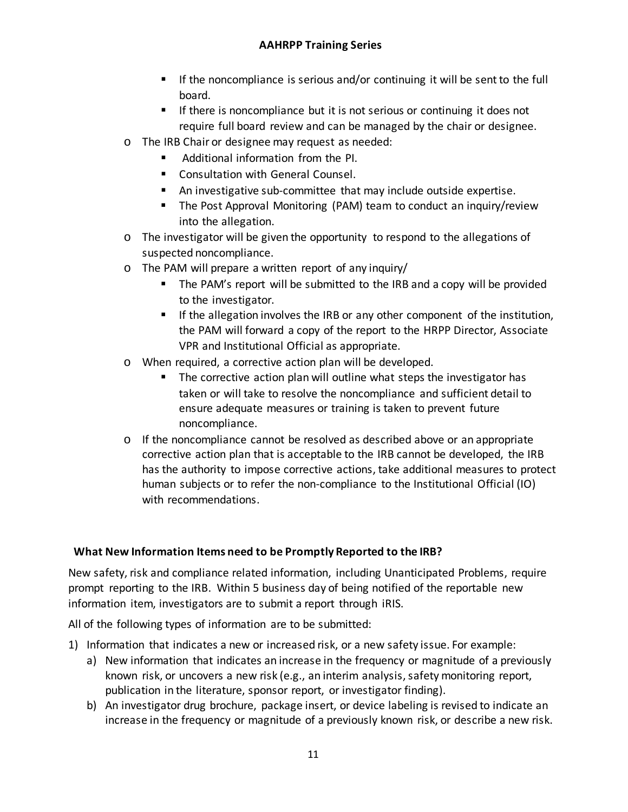- If the noncompliance is serious and/or continuing it will be sent to the full board.
- If there is noncompliance but it is not serious or continuing it does not require full board review and can be managed by the chair or designee.
- o The IRB Chair or designee may request as needed:
	- **Additional information from the PI.**
	- **E** Consultation with General Counsel.
	- An investigative sub-committee that may include outside expertise.
	- The Post Approval Monitoring (PAM) team to conduct an inquiry/review into the allegation.
- o The investigator will be given the opportunity to respond to the allegations of suspected noncompliance.
- o The PAM will prepare a written report of any inquiry/
	- **The PAM's report will be submitted to the IRB and a copy will be provided** to the investigator.
	- If the allegation involves the IRB or any other component of the institution, the PAM will forward a copy of the report to the HRPP Director, Associate VPR and Institutional Official as appropriate.
- o When required, a corrective action plan will be developed.
	- **The corrective action plan will outline what steps the investigator has** taken or will take to resolve the noncompliance and sufficient detail to ensure adequate measures or training is taken to prevent future noncompliance.
- $\circ$  If the noncompliance cannot be resolved as described above or an appropriate corrective action plan that is acceptable to the IRB cannot be developed, the IRB has the authority to impose corrective actions, take additional measures to protect human subjects or to refer the non-compliance to the Institutional Official (IO) with recommendations.

#### **What New Information Items need to be Promptly Reported to the IRB?**

New safety, risk and compliance related information, including Unanticipated Problems, require prompt reporting to the IRB. Within 5 business day of being notified of the reportable new information item, investigators are to submit a report through iRIS.

All of the following types of information are to be submitted:

- 1) Information that indicates a new or increased risk, or a new safety issue. For example:
	- a) New information that indicates an increase in the frequency or magnitude of a previously known risk, or uncovers a new risk (e.g., an interim analysis, safety monitoring report, publication in the literature, sponsor report, or investigator finding).
	- b) An investigator drug brochure, package insert, or device labeling is revised to indicate an increase in the frequency or magnitude of a previously known risk, or describe a new risk.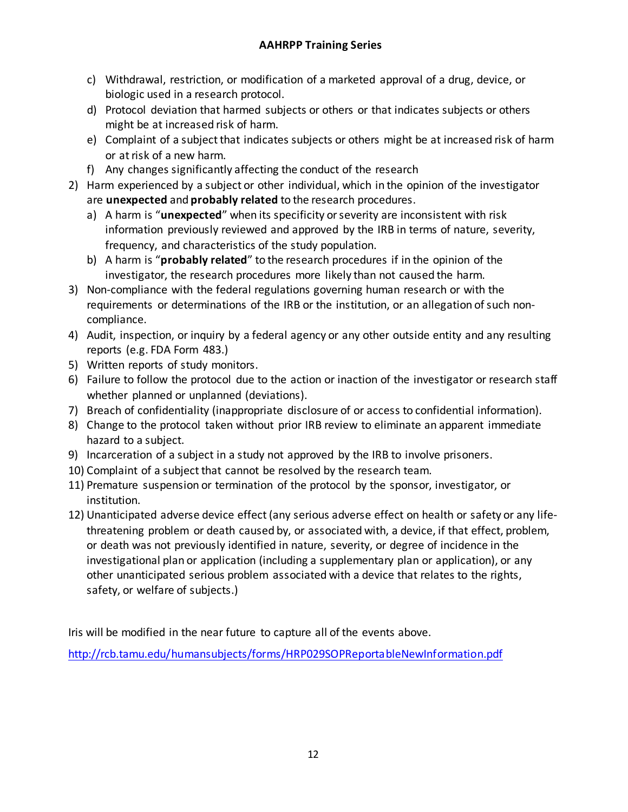- c) Withdrawal, restriction, or modification of a marketed approval of a drug, device, or biologic used in a research protocol.
- d) Protocol deviation that harmed subjects or others or that indicates subjects or others might be at increased risk of harm.
- e) Complaint of a subject that indicates subjects or others might be at increased risk of harm or at risk of a new harm.
- f) Any changes significantly affecting the conduct of the research
- 2) Harm experienced by a subject or other individual, which in the opinion of the investigator are **unexpected** and **probably related** to the research procedures.
	- a) A harm is "**unexpected**" when its specificity or severity are inconsistent with risk information previously reviewed and approved by the IRB in terms of nature, severity, frequency, and characteristics of the study population.
	- b) A harm is "**probably related**" to the research procedures if in the opinion of the investigator, the research procedures more likely than not caused the harm.
- 3) Non-compliance with the federal regulations governing human research or with the requirements or determinations of the IRB or the institution, or an allegation of such noncompliance.
- 4) Audit, inspection, or inquiry by a federal agency or any other outside entity and any resulting reports (e.g. FDA Form 483.)
- 5) Written reports of study monitors.
- 6) Failure to follow the protocol due to the action or inaction of the investigator or research staff whether planned or unplanned (deviations).
- 7) Breach of confidentiality (inappropriate disclosure of or access to confidential information).
- 8) Change to the protocol taken without prior IRB review to eliminate an apparent immediate hazard to a subject.
- 9) Incarceration of a subject in a study not approved by the IRB to involve prisoners.
- 10) Complaint of a subject that cannot be resolved by the research team.
- 11) Premature suspension or termination of the protocol by the sponsor, investigator, or institution.
- 12) Unanticipated adverse device effect (any serious adverse effect on health or safety or any lifethreatening problem or death caused by, or associated with, a device, if that effect, problem, or death was not previously identified in nature, severity, or degree of incidence in the investigational plan or application (including a supplementary plan or application), or any other unanticipated serious problem associated with a device that relates to the rights, safety, or welfare of subjects.)

Iris will be modified in the near future to capture all of the events above.

<http://rcb.tamu.edu/humansubjects/forms/HRP029SOPReportableNewInformation.pdf>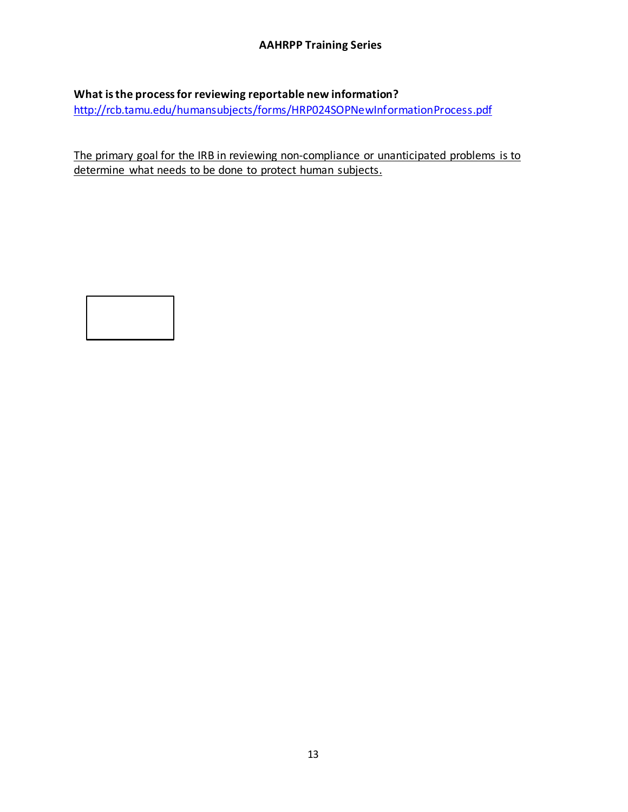# **What is the process for reviewing reportable new information?**

<http://rcb.tamu.edu/humansubjects/forms/HRP024SOPNewInformationProcess.pdf>

The primary goal for the IRB in reviewing non-compliance or unanticipated problems is to determine what needs to be done to protect human subjects.

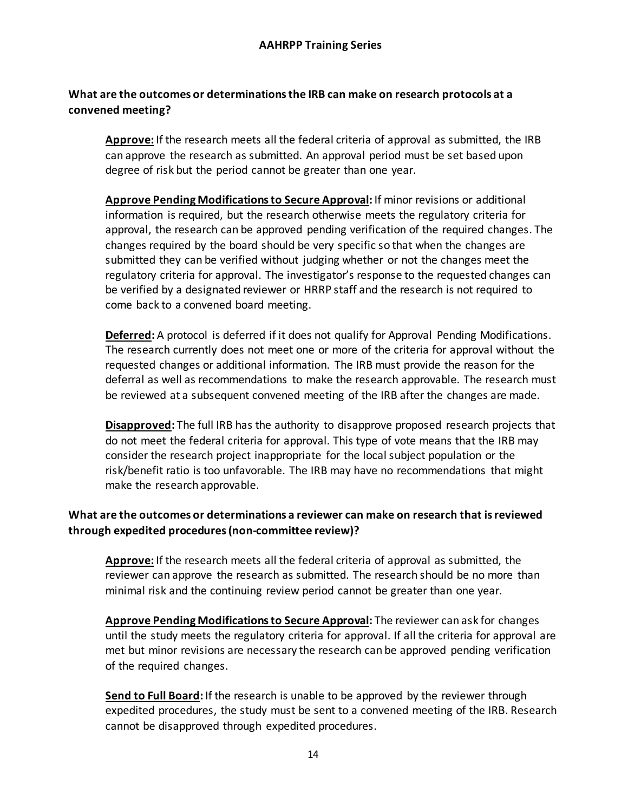# **What are the outcomes or determinations the IRB can make on research protocols at a convened meeting?**

**Approve:** If the research meets all the federal criteria of approval as submitted, the IRB can approve the research as submitted. An approval period must be set based upon degree of risk but the period cannot be greater than one year.

**Approve Pending Modifications to Secure Approval:** If minor revisions or additional information is required, but the research otherwise meets the regulatory criteria for approval, the research can be approved pending verification of the required changes. The changes required by the board should be very specific so that when the changes are submitted they can be verified without judging whether or not the changes meet the regulatory criteria for approval. The investigator's response to the requested changes can be verified by a designated reviewer or HRRP staff and the research is not required to come back to a convened board meeting.

**Deferred:** A protocol is deferred if it does not qualify for Approval Pending Modifications. The research currently does not meet one or more of the criteria for approval without the requested changes or additional information. The IRB must provide the reason for the deferral as well as recommendations to make the research approvable. The research must be reviewed at a subsequent convened meeting of the IRB after the changes are made.

**Disapproved:** The full IRB has the authority to disapprove proposed research projects that do not meet the federal criteria for approval. This type of vote means that the IRB may consider the research project inappropriate for the local subject population or the risk/benefit ratio is too unfavorable. The IRB may have no recommendations that might make the research approvable.

# **What are the outcomes or determinations a reviewer can make on research that is reviewed through expedited procedures (non-committee review)?**

**Approve:** If the research meets all the federal criteria of approval as submitted, the reviewer can approve the research as submitted. The research should be no more than minimal risk and the continuing review period cannot be greater than one year.

**Approve Pending Modifications to Secure Approval:** The reviewer can ask for changes until the study meets the regulatory criteria for approval. If all the criteria for approval are met but minor revisions are necessary the research can be approved pending verification of the required changes.

**Send to Full Board:** If the research is unable to be approved by the reviewer through expedited procedures, the study must be sent to a convened meeting of the IRB. Research cannot be disapproved through expedited procedures.